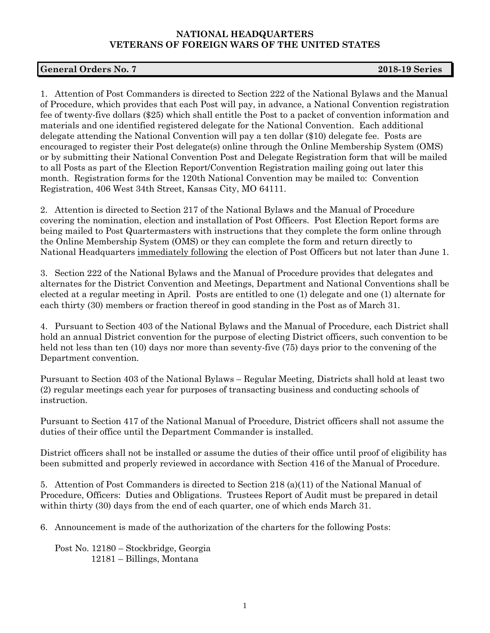## **NATIONAL HEADQUARTERS VETERANS OF FOREIGN WARS OF THE UNITED STATES**

## **General Orders No. 7 2018-19 Series**

1. Attention of Post Commanders is directed to Section 222 of the National Bylaws and the Manual of Procedure, which provides that each Post will pay, in advance, a National Convention registration fee of twenty-five dollars (\$25) which shall entitle the Post to a packet of convention information and materials and one identified registered delegate for the National Convention. Each additional delegate attending the National Convention will pay a ten dollar (\$10) delegate fee. Posts are encouraged to register their Post delegate(s) online through the Online Membership System (OMS) or by submitting their National Convention Post and Delegate Registration form that will be mailed to all Posts as part of the Election Report/Convention Registration mailing going out later this month. Registration forms for the 120th National Convention may be mailed to: Convention Registration, 406 West 34th Street, Kansas City, MO 64111.

2. Attention is directed to Section 217 of the National Bylaws and the Manual of Procedure covering the nomination, election and installation of Post Officers. Post Election Report forms are being mailed to Post Quartermasters with instructions that they complete the form online through the Online Membership System (OMS) or they can complete the form and return directly to National Headquarters immediately following the election of Post Officers but not later than June 1.

3. Section 222 of the National Bylaws and the Manual of Procedure provides that delegates and alternates for the District Convention and Meetings, Department and National Conventions shall be elected at a regular meeting in April. Posts are entitled to one (1) delegate and one (1) alternate for each thirty (30) members or fraction thereof in good standing in the Post as of March 31.

4. Pursuant to Section 403 of the National Bylaws and the Manual of Procedure, each District shall hold an annual District convention for the purpose of electing District officers, such convention to be held not less than ten (10) days nor more than seventy-five (75) days prior to the convening of the Department convention.

Pursuant to Section 403 of the National Bylaws – Regular Meeting, Districts shall hold at least two (2) regular meetings each year for purposes of transacting business and conducting schools of instruction.

Pursuant to Section 417 of the National Manual of Procedure, District officers shall not assume the duties of their office until the Department Commander is installed.

District officers shall not be installed or assume the duties of their office until proof of eligibility has been submitted and properly reviewed in accordance with Section 416 of the Manual of Procedure.

5. Attention of Post Commanders is directed to Section 218 (a)(11) of the National Manual of Procedure, Officers: Duties and Obligations. Trustees Report of Audit must be prepared in detail within thirty (30) days from the end of each quarter, one of which ends March 31.

6. Announcement is made of the authorization of the charters for the following Posts:

Post No. 12180 – Stockbridge, Georgia 12181 – Billings, Montana